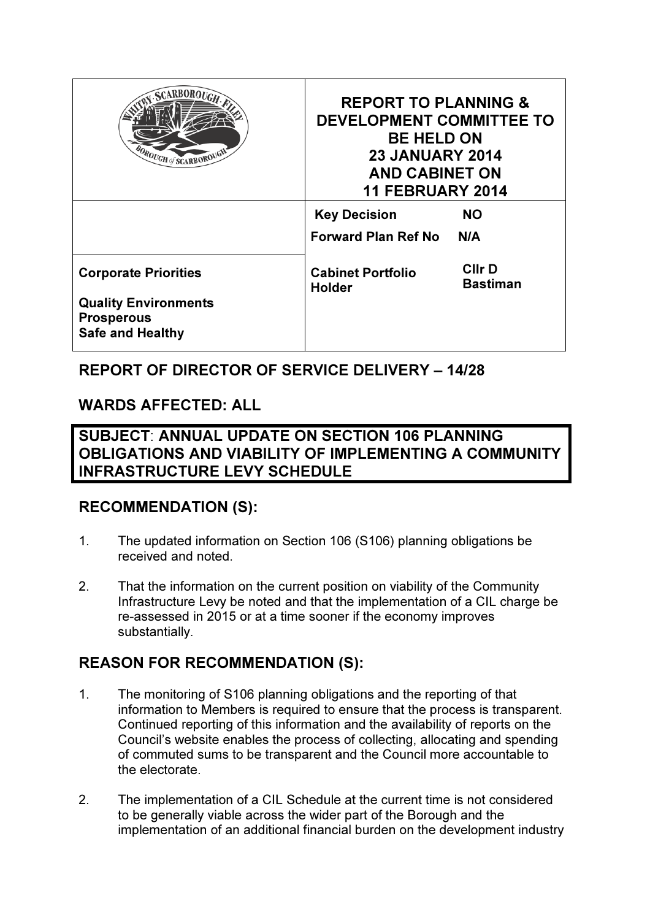| <b>SCARBOROUG</b><br>OROUGH of SCARBOROUGH                                  | <b>REPORT TO PLANNING &amp;</b><br>DEVELOPMENT COMMITTEE TO<br><b>BE HELD ON</b><br><b>23 JANUARY 2014</b><br><b>AND CABINET ON</b><br><b>11 FEBRUARY 2014</b> |                           |
|-----------------------------------------------------------------------------|----------------------------------------------------------------------------------------------------------------------------------------------------------------|---------------------------|
|                                                                             | <b>Key Decision</b>                                                                                                                                            | NO.                       |
|                                                                             | <b>Forward Plan Ref No</b>                                                                                                                                     | N/A                       |
| <b>Corporate Priorities</b>                                                 | <b>Cabinet Portfolio</b><br><b>Holder</b>                                                                                                                      | <b>Clir D</b><br>Bastiman |
| <b>Quality Environments</b><br><b>Prosperous</b><br><b>Safe and Healthy</b> |                                                                                                                                                                |                           |

## REPORT OF DIRECTOR OF SERVICE DELIVERY – 14/28

## WARDS AFFECTED: ALL

SUBJECT: ANNUAL UPDATE ON SECTION 106 PLANNING OBLIGATIONS AND VIABILITY OF IMPLEMENTING A COMMUNITY INFRASTRUCTURE LEVY SCHEDULE

## RECOMMENDATION (S):

- 1. The updated information on Section 106 (S106) planning obligations be received and noted.
- 2. That the information on the current position on viability of the Community Infrastructure Levy be noted and that the implementation of a CIL charge be re-assessed in 2015 or at a time sooner if the economy improves substantially.

## REASON FOR RECOMMENDATION (S):

- 1. The monitoring of S106 planning obligations and the reporting of that information to Members is required to ensure that the process is transparent. Continued reporting of this information and the availability of reports on the Council's website enables the process of collecting, allocating and spending of commuted sums to be transparent and the Council more accountable to the electorate.
- 2. The implementation of a CIL Schedule at the current time is not considered to be generally viable across the wider part of the Borough and the implementation of an additional financial burden on the development industry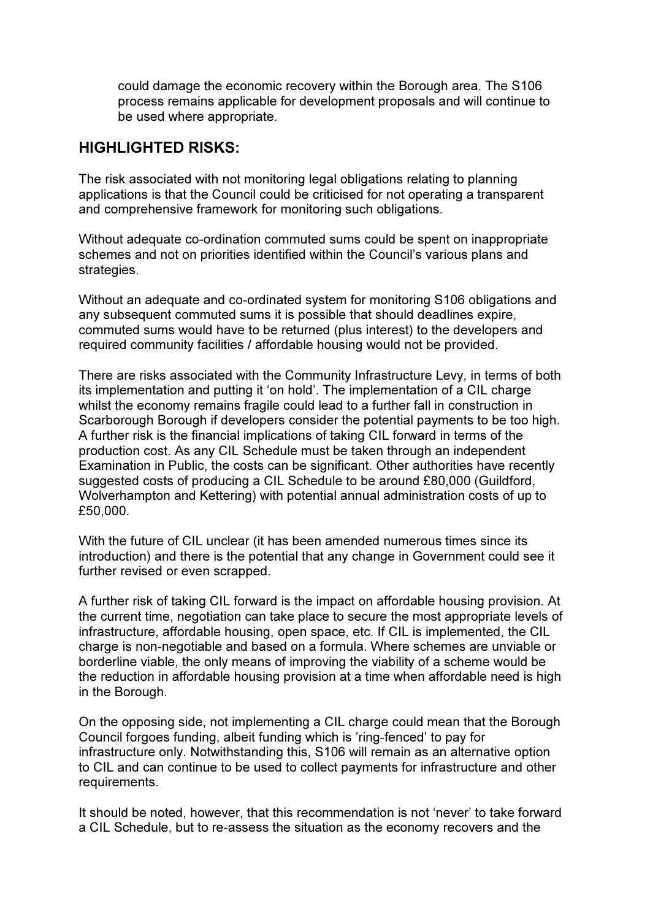could damage the economic recovery within the Borough area. The S106 process remains applicable for development proposals and will continue to be used where appropriate.

## HIGHLIGHTED RISKS:

The risk associated with not monitoring legal obligations relating to planning applications is that the Council could be criticised for not operating a transparent and comprehensive framework for monitoring such obligations.

Without adequate co-ordination commuted sums could be spent on inappropriate schemes and not on priorities identified within the Council's various plans and strategies.

Without an adequate and co-ordinated system for monitoring S106 obligations and any subsequent commuted sums it is possible that should deadlines expire, commuted sums would have to be returned (plus interest) to the developers and required community facilities / affordable housing would not be provided.

There are risks associated with the Community Infrastructure Levy, in terms of both its implementation and putting it 'on hold'. The implementation of a CIL charge whilst the economy remains fragile could lead to a further fall in construction in Scarborough Borough if developers consider the potential payments to be too high. A further risk is the financial implications of taking CIL forward in terms of the production cost. As any CIL Schedule must be taken through an independent Examination in Public, the costs can be significant. Other authorities have recently suggested costs of producing a CIL Schedule to be around £80,000 (Guildford, Wolverhampton and Kettering) with potential annual administration costs of up to £50,000.

With the future of CIL unclear (it has been amended numerous times since its introduction) and there is the potential that any change in Government could see it further revised or even scrapped.

A further risk of taking CIL forward is the impact on affordable housing provision. At the current time, negotiation can take place to secure the most appropriate levels of infrastructure, affordable housing, open space, etc. If CIL is implemented, the CIL charge is non-negotiable and based on a formula. Where schemes are unviable or borderline viable, the only means of improving the viability of a scheme would be the reduction in affordable housing provision at a time when affordable need is high in the Borough.

On the opposing side, not implementing a CIL charge could mean that the Borough Council forgoes funding, albeit funding which is 'ring-fenced' to pay for infrastructure only. Notwithstanding this, S106 will remain as an alternative option to CIL and can continue to be used to collect payments for infrastructure and other requirements.

It should be noted, however, that this recommendation is not 'never' to take forward a CIL Schedule, but to re-assess the situation as the economy recovers and the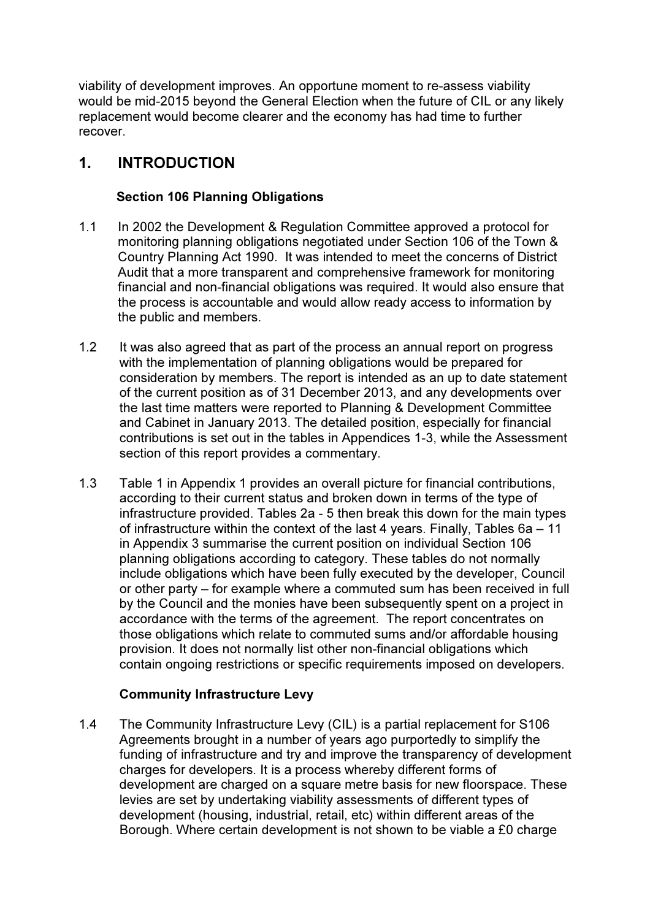viability of development improves. An opportune moment to re-assess viability would be mid-2015 beyond the General Election when the future of CIL or any likely replacement would become clearer and the economy has had time to further recover.

## 1. INTRODUCTION

#### Section 106 Planning Obligations

- 1.1 In 2002 the Development & Regulation Committee approved a protocol for monitoring planning obligations negotiated under Section 106 of the Town & Country Planning Act 1990. It was intended to meet the concerns of District Audit that a more transparent and comprehensive framework for monitoring financial and non-financial obligations was required. It would also ensure that the process is accountable and would allow ready access to information by the public and members.
- 1.2 It was also agreed that as part of the process an annual report on progress with the implementation of planning obligations would be prepared for consideration by members. The report is intended as an up to date statement of the current position as of 31 December 2013, and any developments over the last time matters were reported to Planning & Development Committee and Cabinet in January 2013. The detailed position, especially for financial contributions is set out in the tables in Appendices 1-3, while the Assessment section of this report provides a commentary.
- 1.3 Table 1 in Appendix 1 provides an overall picture for financial contributions, according to their current status and broken down in terms of the type of infrastructure provided. Tables 2a - 5 then break this down for the main types of infrastructure within the context of the last 4 years. Finally, Tables 6a – 11 in Appendix 3 summarise the current position on individual Section 106 planning obligations according to category. These tables do not normally include obligations which have been fully executed by the developer, Council or other party – for example where a commuted sum has been received in full by the Council and the monies have been subsequently spent on a project in accordance with the terms of the agreement. The report concentrates on those obligations which relate to commuted sums and/or affordable housing provision. It does not normally list other non-financial obligations which contain ongoing restrictions or specific requirements imposed on developers.

#### Community Infrastructure Levy

1.4 The Community Infrastructure Levy (CIL) is a partial replacement for S106 Agreements brought in a number of years ago purportedly to simplify the funding of infrastructure and try and improve the transparency of development charges for developers. It is a process whereby different forms of development are charged on a square metre basis for new floorspace. These levies are set by undertaking viability assessments of different types of development (housing, industrial, retail, etc) within different areas of the Borough. Where certain development is not shown to be viable a £0 charge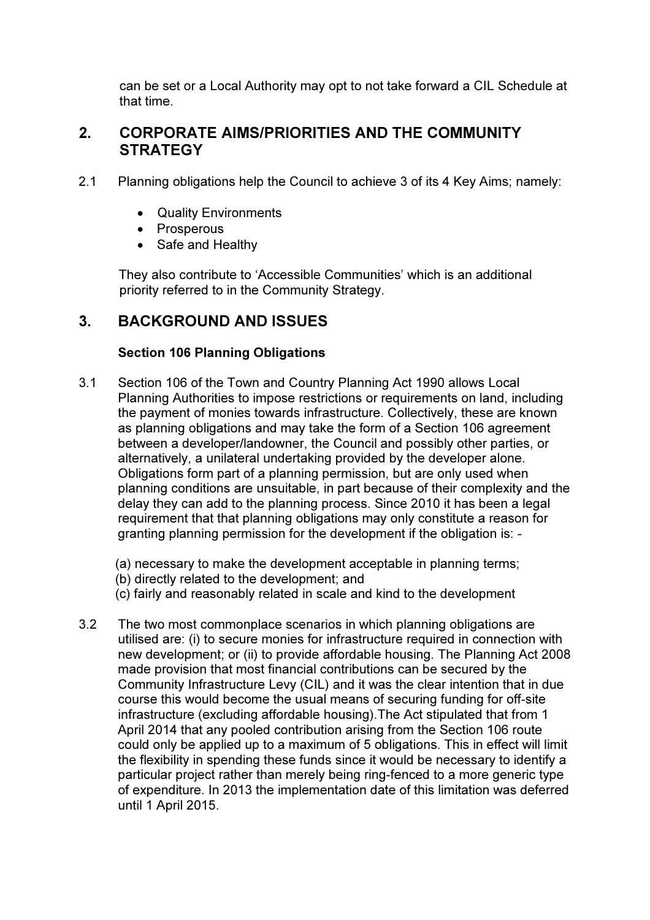can be set or a Local Authority may opt to not take forward a CIL Schedule at that time.

## 2. CORPORATE AIMS/PRIORITIES AND THE COMMUNITY **STRATEGY**

- 2.1 Planning obligations help the Council to achieve 3 of its 4 Key Aims; namely:
	- Quality Environments
	- Prosperous
	- Safe and Healthy

 They also contribute to 'Accessible Communities' which is an additional priority referred to in the Community Strategy.

## 3. BACKGROUND AND ISSUES

### Section 106 Planning Obligations

- 3.1 Section 106 of the Town and Country Planning Act 1990 allows Local Planning Authorities to impose restrictions or requirements on land, including the payment of monies towards infrastructure. Collectively, these are known as planning obligations and may take the form of a Section 106 agreement between a developer/landowner, the Council and possibly other parties, or alternatively, a unilateral undertaking provided by the developer alone. Obligations form part of a planning permission, but are only used when planning conditions are unsuitable, in part because of their complexity and the delay they can add to the planning process. Since 2010 it has been a legal requirement that that planning obligations may only constitute a reason for granting planning permission for the development if the obligation is: -
	- (a) necessary to make the development acceptable in planning terms;
	- (b) directly related to the development; and
	- (c) fairly and reasonably related in scale and kind to the development
- 3.2 The two most commonplace scenarios in which planning obligations are utilised are: (i) to secure monies for infrastructure required in connection with new development; or (ii) to provide affordable housing. The Planning Act 2008 made provision that most financial contributions can be secured by the Community Infrastructure Levy (CIL) and it was the clear intention that in due course this would become the usual means of securing funding for off-site infrastructure (excluding affordable housing).The Act stipulated that from 1 April 2014 that any pooled contribution arising from the Section 106 route could only be applied up to a maximum of 5 obligations. This in effect will limit the flexibility in spending these funds since it would be necessary to identify a particular project rather than merely being ring-fenced to a more generic type of expenditure. In 2013 the implementation date of this limitation was deferred until 1 April 2015.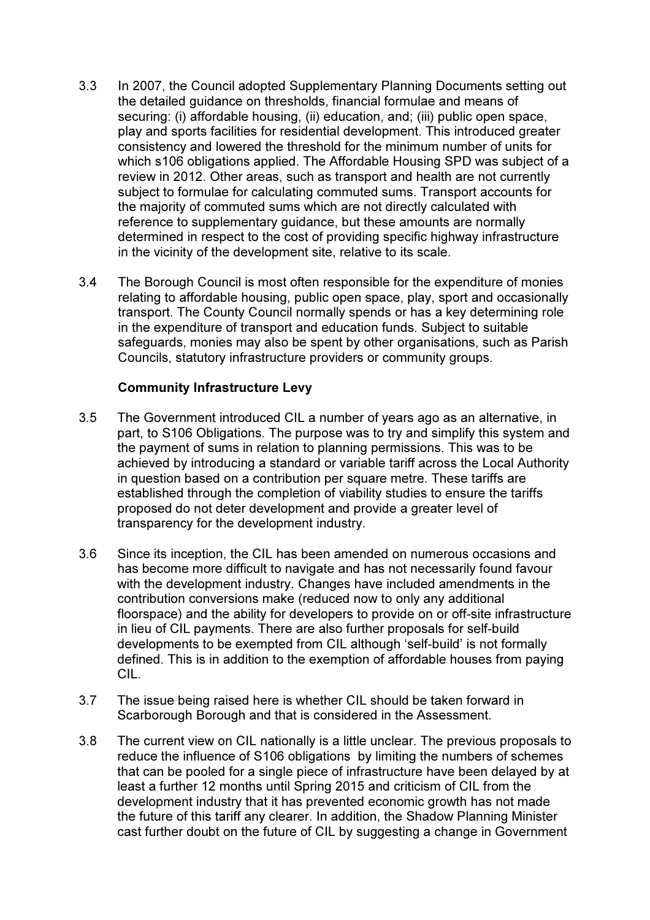- 3.3 In 2007, the Council adopted Supplementary Planning Documents setting out the detailed guidance on thresholds, financial formulae and means of securing: (i) affordable housing, (ii) education, and; (iii) public open space, play and sports facilities for residential development. This introduced greater consistency and lowered the threshold for the minimum number of units for which s106 obligations applied. The Affordable Housing SPD was subject of a review in 2012. Other areas, such as transport and health are not currently subject to formulae for calculating commuted sums. Transport accounts for the majority of commuted sums which are not directly calculated with reference to supplementary guidance, but these amounts are normally determined in respect to the cost of providing specific highway infrastructure in the vicinity of the development site, relative to its scale.
- 3.4 The Borough Council is most often responsible for the expenditure of monies relating to affordable housing, public open space, play, sport and occasionally transport. The County Council normally spends or has a key determining role in the expenditure of transport and education funds. Subject to suitable safeguards, monies may also be spent by other organisations, such as Parish Councils, statutory infrastructure providers or community groups.

#### Community Infrastructure Levy

- 3.5 The Government introduced CIL a number of years ago as an alternative, in part, to S106 Obligations. The purpose was to try and simplify this system and the payment of sums in relation to planning permissions. This was to be achieved by introducing a standard or variable tariff across the Local Authority in question based on a contribution per square metre. These tariffs are established through the completion of viability studies to ensure the tariffs proposed do not deter development and provide a greater level of transparency for the development industry.
- 3.6 Since its inception, the CIL has been amended on numerous occasions and has become more difficult to navigate and has not necessarily found favour with the development industry. Changes have included amendments in the contribution conversions make (reduced now to only any additional floorspace) and the ability for developers to provide on or off-site infrastructure in lieu of CIL payments. There are also further proposals for self-build developments to be exempted from CIL although 'self-build' is not formally defined. This is in addition to the exemption of affordable houses from paying CIL.
- 3.7 The issue being raised here is whether CIL should be taken forward in Scarborough Borough and that is considered in the Assessment.
- 3.8 The current view on CIL nationally is a little unclear. The previous proposals to reduce the influence of S106 obligations by limiting the numbers of schemes that can be pooled for a single piece of infrastructure have been delayed by at least a further 12 months until Spring 2015 and criticism of CIL from the development industry that it has prevented economic growth has not made the future of this tariff any clearer. In addition, the Shadow Planning Minister cast further doubt on the future of CIL by suggesting a change in Government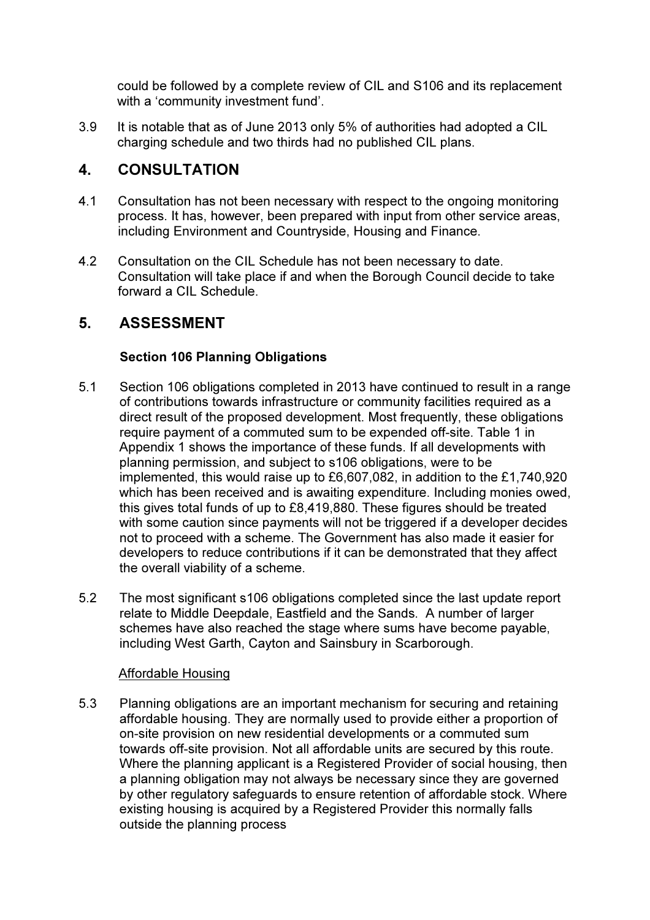could be followed by a complete review of CIL and S106 and its replacement with a 'community investment fund'.

3.9 It is notable that as of June 2013 only 5% of authorities had adopted a CIL charging schedule and two thirds had no published CIL plans.

## 4. CONSULTATION

- 4.1 Consultation has not been necessary with respect to the ongoing monitoring process. It has, however, been prepared with input from other service areas, including Environment and Countryside, Housing and Finance.
- 4.2 Consultation on the CIL Schedule has not been necessary to date. Consultation will take place if and when the Borough Council decide to take forward a CIL Schedule.

## 5. ASSESSMENT

#### Section 106 Planning Obligations

- 5.1 Section 106 obligations completed in 2013 have continued to result in a range of contributions towards infrastructure or community facilities required as a direct result of the proposed development. Most frequently, these obligations require payment of a commuted sum to be expended off-site. Table 1 in Appendix 1 shows the importance of these funds. If all developments with planning permission, and subject to s106 obligations, were to be implemented, this would raise up to £6,607,082, in addition to the £1,740,920 which has been received and is awaiting expenditure. Including monies owed, this gives total funds of up to £8,419,880. These figures should be treated with some caution since payments will not be triggered if a developer decides not to proceed with a scheme. The Government has also made it easier for developers to reduce contributions if it can be demonstrated that they affect the overall viability of a scheme.
- 5.2 The most significant s106 obligations completed since the last update report relate to Middle Deepdale, Eastfield and the Sands. A number of larger schemes have also reached the stage where sums have become payable, including West Garth, Cayton and Sainsbury in Scarborough.

#### Affordable Housing

5.3 Planning obligations are an important mechanism for securing and retaining affordable housing. They are normally used to provide either a proportion of on-site provision on new residential developments or a commuted sum towards off-site provision. Not all affordable units are secured by this route. Where the planning applicant is a Registered Provider of social housing, then a planning obligation may not always be necessary since they are governed by other regulatory safeguards to ensure retention of affordable stock. Where existing housing is acquired by a Registered Provider this normally falls outside the planning process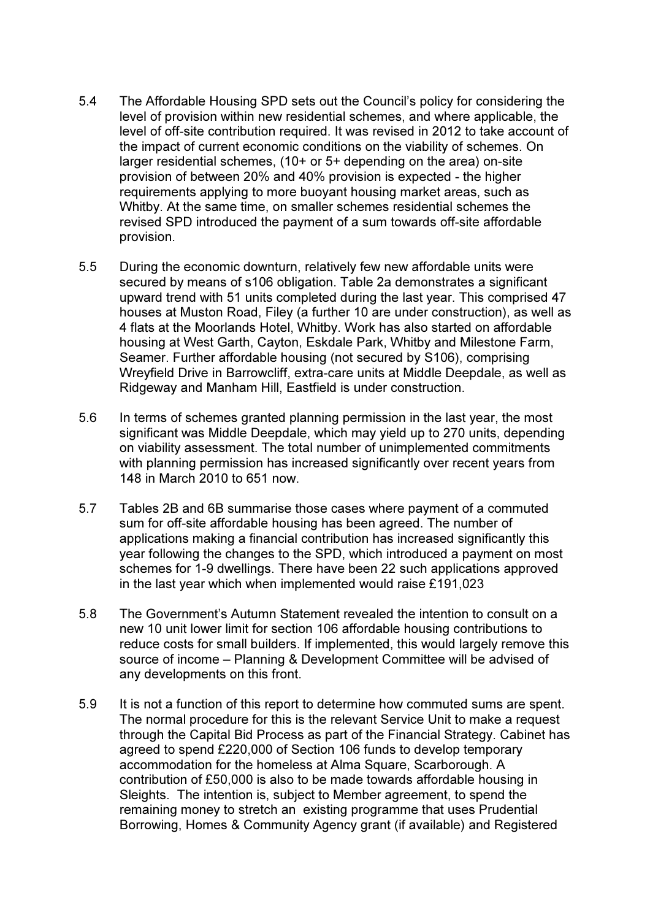- 5.4 The Affordable Housing SPD sets out the Council's policy for considering the level of provision within new residential schemes, and where applicable, the level of off-site contribution required. It was revised in 2012 to take account of the impact of current economic conditions on the viability of schemes. On larger residential schemes, (10+ or 5+ depending on the area) on-site provision of between 20% and 40% provision is expected - the higher requirements applying to more buoyant housing market areas, such as Whitby. At the same time, on smaller schemes residential schemes the revised SPD introduced the payment of a sum towards off-site affordable provision.
- 5.5 During the economic downturn, relatively few new affordable units were secured by means of s106 obligation. Table 2a demonstrates a significant upward trend with 51 units completed during the last year. This comprised 47 houses at Muston Road, Filey (a further 10 are under construction), as well as 4 flats at the Moorlands Hotel, Whitby. Work has also started on affordable housing at West Garth, Cayton, Eskdale Park, Whitby and Milestone Farm, Seamer. Further affordable housing (not secured by S106), comprising Wreyfield Drive in Barrowcliff, extra-care units at Middle Deepdale, as well as Ridgeway and Manham Hill, Eastfield is under construction.
- 5.6 In terms of schemes granted planning permission in the last year, the most significant was Middle Deepdale, which may yield up to 270 units, depending on viability assessment. The total number of unimplemented commitments with planning permission has increased significantly over recent years from 148 in March 2010 to 651 now.
- 5.7 Tables 2B and 6B summarise those cases where payment of a commuted sum for off-site affordable housing has been agreed. The number of applications making a financial contribution has increased significantly this year following the changes to the SPD, which introduced a payment on most schemes for 1-9 dwellings. There have been 22 such applications approved in the last year which when implemented would raise £191,023
- 5.8 The Government's Autumn Statement revealed the intention to consult on a new 10 unit lower limit for section 106 affordable housing contributions to reduce costs for small builders. If implemented, this would largely remove this source of income – Planning & Development Committee will be advised of any developments on this front.
- 5.9 It is not a function of this report to determine how commuted sums are spent. The normal procedure for this is the relevant Service Unit to make a request through the Capital Bid Process as part of the Financial Strategy. Cabinet has agreed to spend £220,000 of Section 106 funds to develop temporary accommodation for the homeless at Alma Square, Scarborough. A contribution of £50,000 is also to be made towards affordable housing in Sleights. The intention is, subject to Member agreement, to spend the remaining money to stretch an existing programme that uses Prudential Borrowing, Homes & Community Agency grant (if available) and Registered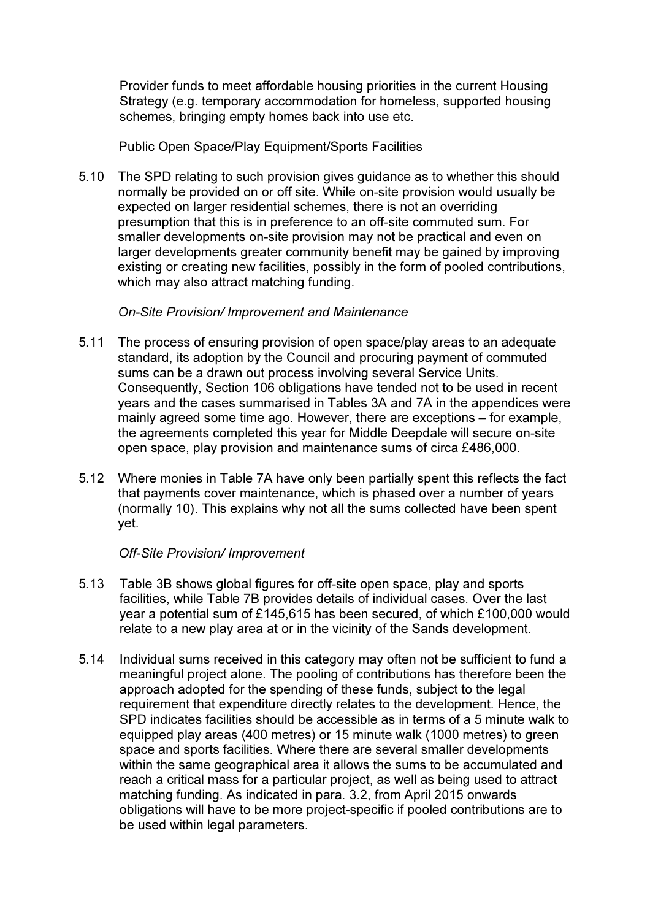Provider funds to meet affordable housing priorities in the current Housing Strategy (e.g. temporary accommodation for homeless, supported housing schemes, bringing empty homes back into use etc.

#### Public Open Space/Play Equipment/Sports Facilities

5.10 The SPD relating to such provision gives guidance as to whether this should normally be provided on or off site. While on-site provision would usually be expected on larger residential schemes, there is not an overriding presumption that this is in preference to an off-site commuted sum. For smaller developments on-site provision may not be practical and even on larger developments greater community benefit may be gained by improving existing or creating new facilities, possibly in the form of pooled contributions, which may also attract matching funding.

#### On-Site Provision/ Improvement and Maintenance

- 5.11 The process of ensuring provision of open space/play areas to an adequate standard, its adoption by the Council and procuring payment of commuted sums can be a drawn out process involving several Service Units. Consequently, Section 106 obligations have tended not to be used in recent years and the cases summarised in Tables 3A and 7A in the appendices were mainly agreed some time ago. However, there are exceptions – for example, the agreements completed this year for Middle Deepdale will secure on-site open space, play provision and maintenance sums of circa £486,000.
- 5.12 Where monies in Table 7A have only been partially spent this reflects the fact that payments cover maintenance, which is phased over a number of years (normally 10). This explains why not all the sums collected have been spent yet.

#### Off-Site Provision/ Improvement

- 5.13 Table 3B shows global figures for off-site open space, play and sports facilities, while Table 7B provides details of individual cases. Over the last year a potential sum of £145,615 has been secured, of which £100,000 would relate to a new play area at or in the vicinity of the Sands development.
- 5.14 Individual sums received in this category may often not be sufficient to fund a meaningful project alone. The pooling of contributions has therefore been the approach adopted for the spending of these funds, subject to the legal requirement that expenditure directly relates to the development. Hence, the SPD indicates facilities should be accessible as in terms of a 5 minute walk to equipped play areas (400 metres) or 15 minute walk (1000 metres) to green space and sports facilities. Where there are several smaller developments within the same geographical area it allows the sums to be accumulated and reach a critical mass for a particular project, as well as being used to attract matching funding. As indicated in para. 3.2, from April 2015 onwards obligations will have to be more project-specific if pooled contributions are to be used within legal parameters.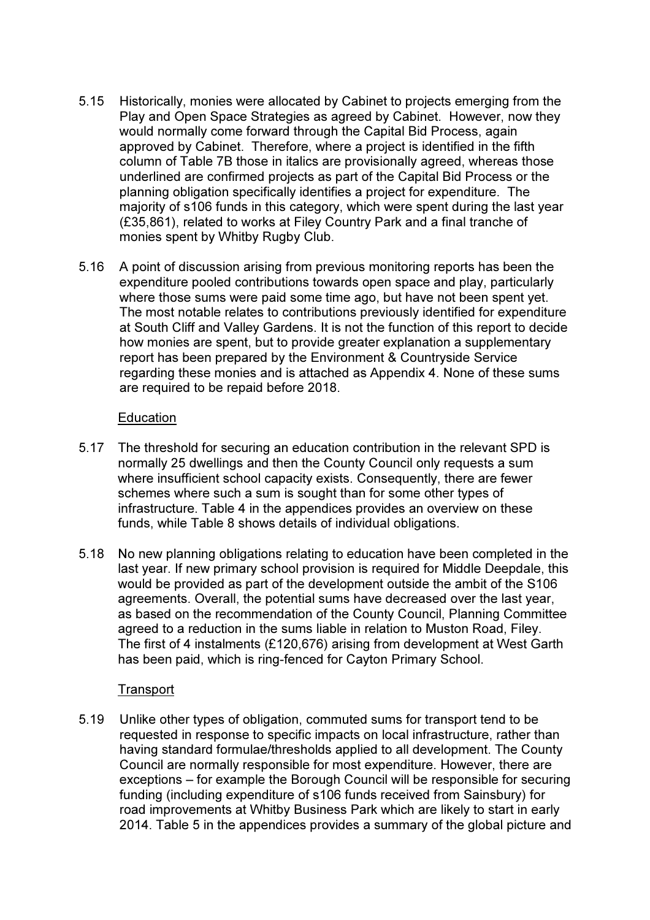- 5.15 Historically, monies were allocated by Cabinet to projects emerging from the Play and Open Space Strategies as agreed by Cabinet. However, now they would normally come forward through the Capital Bid Process, again approved by Cabinet. Therefore, where a project is identified in the fifth column of Table 7B those in italics are provisionally agreed, whereas those underlined are confirmed projects as part of the Capital Bid Process or the planning obligation specifically identifies a project for expenditure. The majority of s106 funds in this category, which were spent during the last year (£35,861), related to works at Filey Country Park and a final tranche of monies spent by Whitby Rugby Club.
- 5.16 A point of discussion arising from previous monitoring reports has been the expenditure pooled contributions towards open space and play, particularly where those sums were paid some time ago, but have not been spent yet. The most notable relates to contributions previously identified for expenditure at South Cliff and Valley Gardens. It is not the function of this report to decide how monies are spent, but to provide greater explanation a supplementary report has been prepared by the Environment & Countryside Service regarding these monies and is attached as Appendix 4. None of these sums are required to be repaid before 2018.

#### **Education**

- 5.17 The threshold for securing an education contribution in the relevant SPD is normally 25 dwellings and then the County Council only requests a sum where insufficient school capacity exists. Consequently, there are fewer schemes where such a sum is sought than for some other types of infrastructure. Table 4 in the appendices provides an overview on these funds, while Table 8 shows details of individual obligations.
- 5.18 No new planning obligations relating to education have been completed in the last year. If new primary school provision is required for Middle Deepdale, this would be provided as part of the development outside the ambit of the S106 agreements. Overall, the potential sums have decreased over the last year, as based on the recommendation of the County Council, Planning Committee agreed to a reduction in the sums liable in relation to Muston Road, Filey. The first of 4 instalments (£120,676) arising from development at West Garth has been paid, which is ring-fenced for Cayton Primary School.

#### Transport

5.19 Unlike other types of obligation, commuted sums for transport tend to be requested in response to specific impacts on local infrastructure, rather than having standard formulae/thresholds applied to all development. The County Council are normally responsible for most expenditure. However, there are exceptions – for example the Borough Council will be responsible for securing funding (including expenditure of s106 funds received from Sainsbury) for road improvements at Whitby Business Park which are likely to start in early 2014. Table 5 in the appendices provides a summary of the global picture and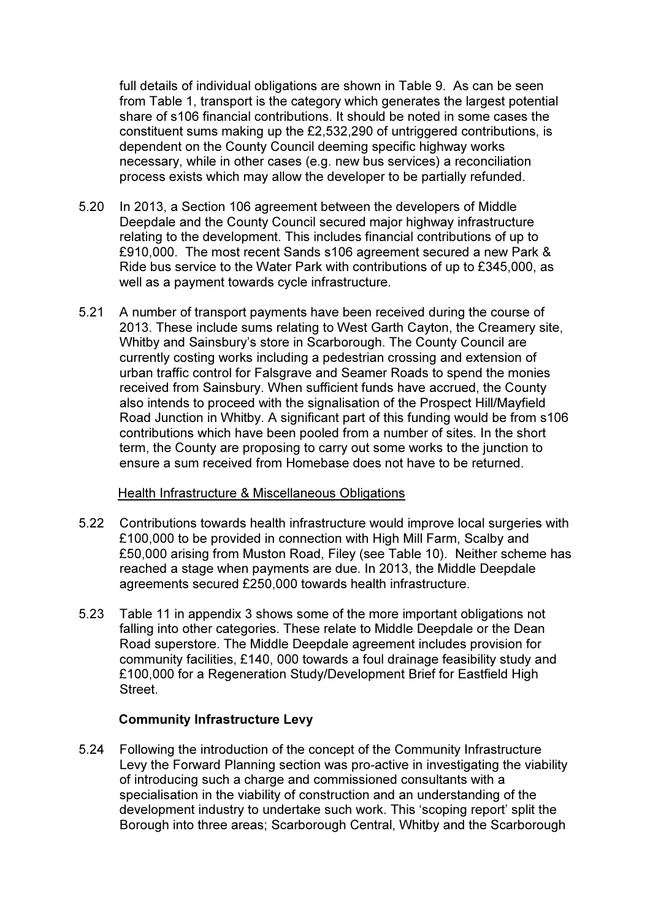full details of individual obligations are shown in Table 9. As can be seen from Table 1, transport is the category which generates the largest potential share of s106 financial contributions. It should be noted in some cases the constituent sums making up the £2,532,290 of untriggered contributions, is dependent on the County Council deeming specific highway works necessary, while in other cases (e.g. new bus services) a reconciliation process exists which may allow the developer to be partially refunded.

- 5.20 In 2013, a Section 106 agreement between the developers of Middle Deepdale and the County Council secured major highway infrastructure relating to the development. This includes financial contributions of up to £910,000. The most recent Sands s106 agreement secured a new Park & Ride bus service to the Water Park with contributions of up to £345,000, as well as a payment towards cycle infrastructure.
- 5.21 A number of transport payments have been received during the course of 2013. These include sums relating to West Garth Cayton, the Creamery site, Whitby and Sainsbury's store in Scarborough. The County Council are currently costing works including a pedestrian crossing and extension of urban traffic control for Falsgrave and Seamer Roads to spend the monies received from Sainsbury. When sufficient funds have accrued, the County also intends to proceed with the signalisation of the Prospect Hill/Mayfield Road Junction in Whitby. A significant part of this funding would be from s106 contributions which have been pooled from a number of sites. In the short term, the County are proposing to carry out some works to the junction to ensure a sum received from Homebase does not have to be returned.

#### Health Infrastructure & Miscellaneous Obligations

- 5.22 Contributions towards health infrastructure would improve local surgeries with £100,000 to be provided in connection with High Mill Farm, Scalby and £50,000 arising from Muston Road, Filey (see Table 10). Neither scheme has reached a stage when payments are due. In 2013, the Middle Deepdale agreements secured £250,000 towards health infrastructure.
- 5.23 Table 11 in appendix 3 shows some of the more important obligations not falling into other categories. These relate to Middle Deepdale or the Dean Road superstore. The Middle Deepdale agreement includes provision for community facilities, £140, 000 towards a foul drainage feasibility study and £100,000 for a Regeneration Study/Development Brief for Eastfield High **Street**

#### Community Infrastructure Levy

5.24 Following the introduction of the concept of the Community Infrastructure Levy the Forward Planning section was pro-active in investigating the viability of introducing such a charge and commissioned consultants with a specialisation in the viability of construction and an understanding of the development industry to undertake such work. This 'scoping report' split the Borough into three areas; Scarborough Central, Whitby and the Scarborough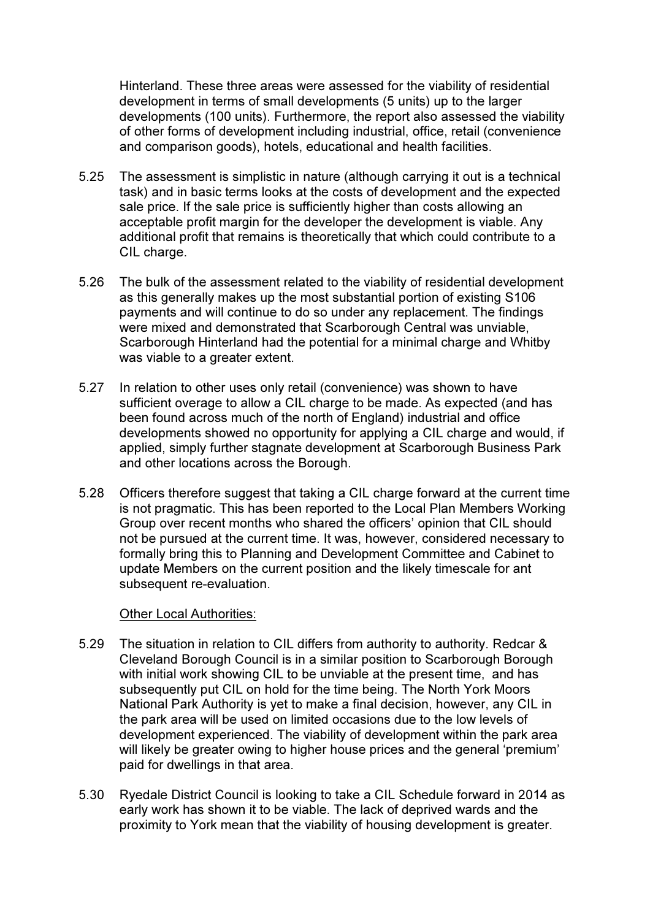Hinterland. These three areas were assessed for the viability of residential development in terms of small developments (5 units) up to the larger developments (100 units). Furthermore, the report also assessed the viability of other forms of development including industrial, office, retail (convenience and comparison goods), hotels, educational and health facilities.

- 5.25 The assessment is simplistic in nature (although carrying it out is a technical task) and in basic terms looks at the costs of development and the expected sale price. If the sale price is sufficiently higher than costs allowing an acceptable profit margin for the developer the development is viable. Any additional profit that remains is theoretically that which could contribute to a CIL charge.
- 5.26 The bulk of the assessment related to the viability of residential development as this generally makes up the most substantial portion of existing S106 payments and will continue to do so under any replacement. The findings were mixed and demonstrated that Scarborough Central was unviable, Scarborough Hinterland had the potential for a minimal charge and Whitby was viable to a greater extent.
- 5.27 In relation to other uses only retail (convenience) was shown to have sufficient overage to allow a CIL charge to be made. As expected (and has been found across much of the north of England) industrial and office developments showed no opportunity for applying a CIL charge and would, if applied, simply further stagnate development at Scarborough Business Park and other locations across the Borough.
- 5.28 Officers therefore suggest that taking a CIL charge forward at the current time is not pragmatic. This has been reported to the Local Plan Members Working Group over recent months who shared the officers' opinion that CIL should not be pursued at the current time. It was, however, considered necessary to formally bring this to Planning and Development Committee and Cabinet to update Members on the current position and the likely timescale for ant subsequent re-evaluation.

#### Other Local Authorities:

- 5.29 The situation in relation to CIL differs from authority to authority. Redcar & Cleveland Borough Council is in a similar position to Scarborough Borough with initial work showing CIL to be unviable at the present time, and has subsequently put CIL on hold for the time being. The North York Moors National Park Authority is yet to make a final decision, however, any CIL in the park area will be used on limited occasions due to the low levels of development experienced. The viability of development within the park area will likely be greater owing to higher house prices and the general 'premium' paid for dwellings in that area.
- 5.30 Ryedale District Council is looking to take a CIL Schedule forward in 2014 as early work has shown it to be viable. The lack of deprived wards and the proximity to York mean that the viability of housing development is greater.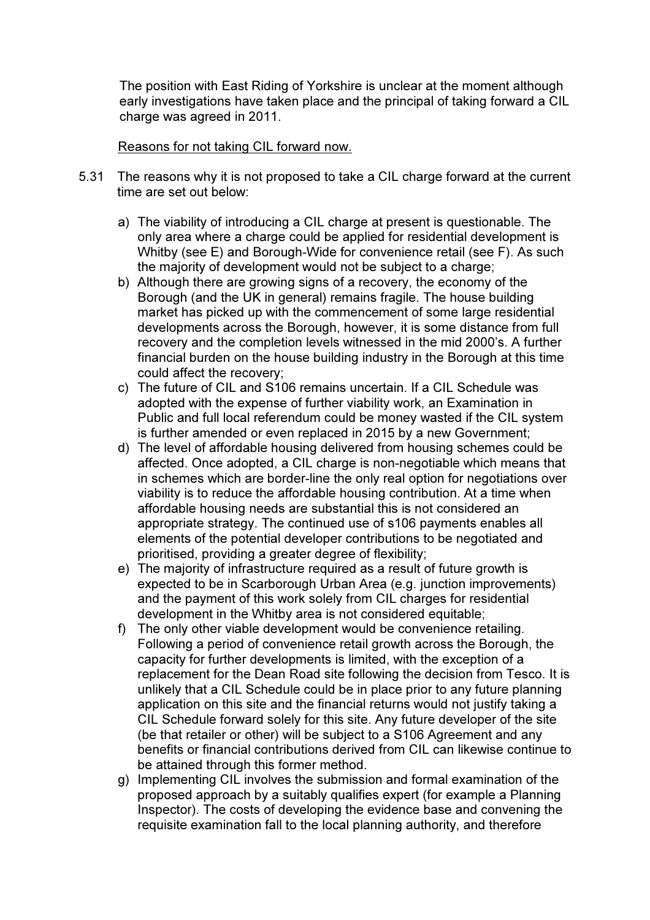The position with East Riding of Yorkshire is unclear at the moment although early investigations have taken place and the principal of taking forward a CIL charge was agreed in 2011.

#### Reasons for not taking CIL forward now.

- 5.31 The reasons why it is not proposed to take a CIL charge forward at the current time are set out below:
	- a) The viability of introducing a CIL charge at present is questionable. The only area where a charge could be applied for residential development is Whitby (see E) and Borough-Wide for convenience retail (see F). As such the majority of development would not be subject to a charge;
	- b) Although there are growing signs of a recovery, the economy of the Borough (and the UK in general) remains fragile. The house building market has picked up with the commencement of some large residential developments across the Borough, however, it is some distance from full recovery and the completion levels witnessed in the mid 2000's. A further financial burden on the house building industry in the Borough at this time could affect the recovery;
	- c) The future of CIL and S106 remains uncertain. If a CIL Schedule was adopted with the expense of further viability work, an Examination in Public and full local referendum could be money wasted if the CIL system is further amended or even replaced in 2015 by a new Government;
	- d) The level of affordable housing delivered from housing schemes could be affected. Once adopted, a CIL charge is non-negotiable which means that in schemes which are border-line the only real option for negotiations over viability is to reduce the affordable housing contribution. At a time when affordable housing needs are substantial this is not considered an appropriate strategy. The continued use of s106 payments enables all elements of the potential developer contributions to be negotiated and prioritised, providing a greater degree of flexibility;
	- e) The majority of infrastructure required as a result of future growth is expected to be in Scarborough Urban Area (e.g. junction improvements) and the payment of this work solely from CIL charges for residential development in the Whitby area is not considered equitable;
	- f) The only other viable development would be convenience retailing. Following a period of convenience retail growth across the Borough, the capacity for further developments is limited, with the exception of a replacement for the Dean Road site following the decision from Tesco. It is unlikely that a CIL Schedule could be in place prior to any future planning application on this site and the financial returns would not justify taking a CIL Schedule forward solely for this site. Any future developer of the site (be that retailer or other) will be subject to a S106 Agreement and any benefits or financial contributions derived from CIL can likewise continue to be attained through this former method.
	- g) Implementing CIL involves the submission and formal examination of the proposed approach by a suitably qualifies expert (for example a Planning Inspector). The costs of developing the evidence base and convening the requisite examination fall to the local planning authority, and therefore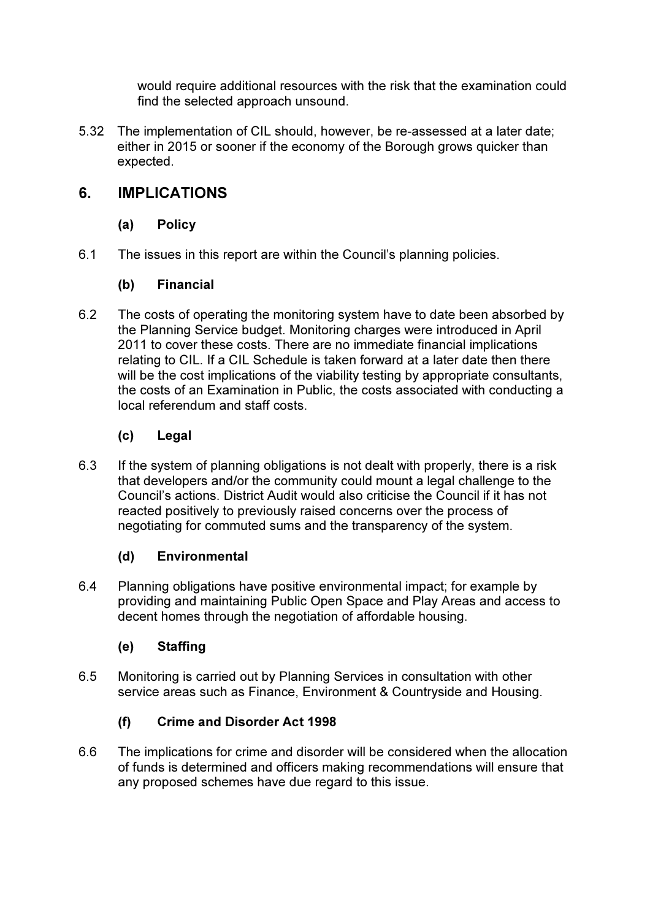would require additional resources with the risk that the examination could find the selected approach unsound.

5.32 The implementation of CIL should, however, be re-assessed at a later date; either in 2015 or sooner if the economy of the Borough grows quicker than expected.

## 6. IMPLICATIONS

## (a) Policy

6.1 The issues in this report are within the Council's planning policies.

### (b) Financial

6.2 The costs of operating the monitoring system have to date been absorbed by the Planning Service budget. Monitoring charges were introduced in April 2011 to cover these costs. There are no immediate financial implications relating to CIL. If a CIL Schedule is taken forward at a later date then there will be the cost implications of the viability testing by appropriate consultants, the costs of an Examination in Public, the costs associated with conducting a local referendum and staff costs.

### (c) Legal

6.3 If the system of planning obligations is not dealt with properly, there is a risk that developers and/or the community could mount a legal challenge to the Council's actions. District Audit would also criticise the Council if it has not reacted positively to previously raised concerns over the process of negotiating for commuted sums and the transparency of the system.

## (d) Environmental

6.4 Planning obligations have positive environmental impact; for example by providing and maintaining Public Open Space and Play Areas and access to decent homes through the negotiation of affordable housing.

## (e) Staffing

6.5 Monitoring is carried out by Planning Services in consultation with other service areas such as Finance, Environment & Countryside and Housing.

## (f) Crime and Disorder Act 1998

6.6 The implications for crime and disorder will be considered when the allocation of funds is determined and officers making recommendations will ensure that any proposed schemes have due regard to this issue.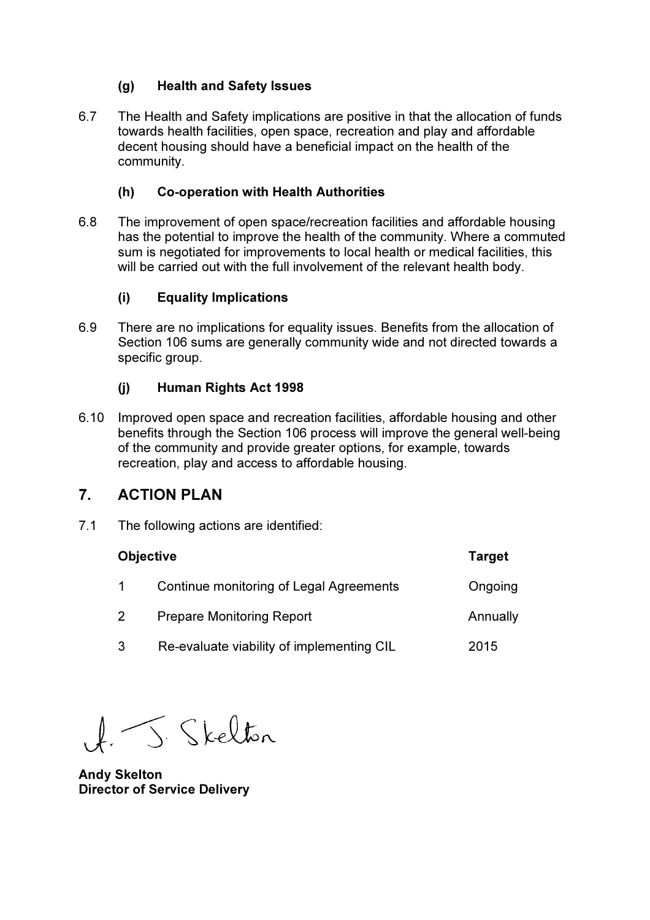#### (g) Health and Safety Issues

6.7 The Health and Safety implications are positive in that the allocation of funds towards health facilities, open space, recreation and play and affordable decent housing should have a beneficial impact on the health of the community.

#### (h) Co-operation with Health Authorities

6.8 The improvement of open space/recreation facilities and affordable housing has the potential to improve the health of the community. Where a commuted sum is negotiated for improvements to local health or medical facilities, this will be carried out with the full involvement of the relevant health body.

#### (i) Equality Implications

6.9 There are no implications for equality issues. Benefits from the allocation of Section 106 sums are generally community wide and not directed towards a specific group.

#### (j) Human Rights Act 1998

6.10 Improved open space and recreation facilities, affordable housing and other benefits through the Section 106 process will improve the general well-being of the community and provide greater options, for example, towards recreation, play and access to affordable housing.

## 7. ACTION PLAN

7.1 The following actions are identified:

| <b>Objective</b> | <b>Target</b>                             |          |
|------------------|-------------------------------------------|----------|
|                  | Continue monitoring of Legal Agreements   | Ongoing  |
| $\overline{2}$   | <b>Prepare Monitoring Report</b>          | Annually |
| 3                | Re-evaluate viability of implementing CIL | 2015     |

J. Skelton

Andy Skelton Director of Service Delivery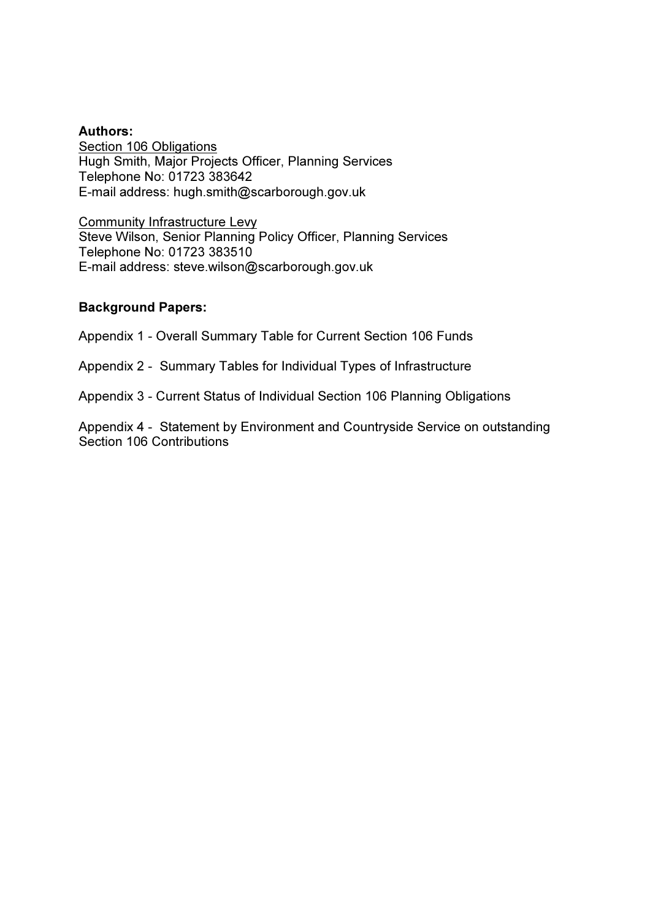#### Authors:

Section 106 Obligations Hugh Smith, Major Projects Officer, Planning Services Telephone No: 01723 383642 E-mail address: hugh.smith@scarborough.gov.uk

Community Infrastructure Levy Steve Wilson, Senior Planning Policy Officer, Planning Services Telephone No: 01723 383510 E-mail address: steve.wilson@scarborough.gov.uk

#### Background Papers:

Appendix 1 - Overall Summary Table for Current Section 106 Funds

Appendix 2 - Summary Tables for Individual Types of Infrastructure

Appendix 3 - Current Status of Individual Section 106 Planning Obligations

Appendix 4 - Statement by Environment and Countryside Service on outstanding Section 106 Contributions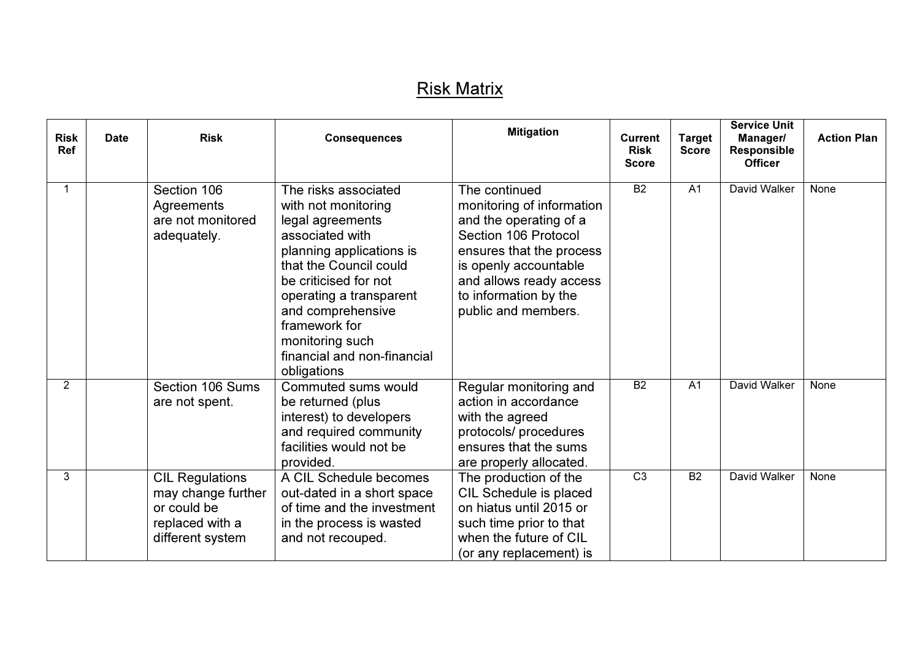## <u>Risk Matrix</u>

| <b>Risk</b><br>Ref | <b>Risk</b><br><b>Date</b><br><b>Consequences</b> |                                                                                                    |                                                                                                                                                                                                                                                                                                     | <b>Mitigation</b>                                                                                                                                                                                                            | <b>Current</b><br><b>Risk</b><br><b>Score</b> | <b>Target</b><br><b>Score</b> | <b>Service Unit</b><br>Manager/<br>Responsible<br><b>Officer</b> | <b>Action Plan</b> |
|--------------------|---------------------------------------------------|----------------------------------------------------------------------------------------------------|-----------------------------------------------------------------------------------------------------------------------------------------------------------------------------------------------------------------------------------------------------------------------------------------------------|------------------------------------------------------------------------------------------------------------------------------------------------------------------------------------------------------------------------------|-----------------------------------------------|-------------------------------|------------------------------------------------------------------|--------------------|
|                    |                                                   | Section 106<br>Agreements<br>are not monitored<br>adequately.                                      | The risks associated<br>with not monitoring<br>legal agreements<br>associated with<br>planning applications is<br>that the Council could<br>be criticised for not<br>operating a transparent<br>and comprehensive<br>framework for<br>monitoring such<br>financial and non-financial<br>obligations | The continued<br>monitoring of information<br>and the operating of a<br>Section 106 Protocol<br>ensures that the process<br>is openly accountable<br>and allows ready access<br>to information by the<br>public and members. | <b>B2</b>                                     | A <sub>1</sub>                | David Walker                                                     | None               |
| $\overline{2}$     |                                                   | Section 106 Sums<br>are not spent.                                                                 | Commuted sums would<br>be returned (plus<br>interest) to developers<br>and required community<br>facilities would not be<br>provided.                                                                                                                                                               | Regular monitoring and<br>action in accordance<br>with the agreed<br>protocols/ procedures<br>ensures that the sums<br>are properly allocated.                                                                               | <b>B2</b>                                     | A <sub>1</sub>                | David Walker                                                     | None               |
| 3                  |                                                   | <b>CIL Regulations</b><br>may change further<br>or could be<br>replaced with a<br>different system | A CIL Schedule becomes<br>out-dated in a short space<br>of time and the investment<br>in the process is wasted<br>and not recouped.                                                                                                                                                                 | The production of the<br>CIL Schedule is placed<br>on hiatus until 2015 or<br>such time prior to that<br>when the future of CIL<br>(or any replacement) is                                                                   | C <sub>3</sub>                                | <b>B2</b>                     | David Walker                                                     | None               |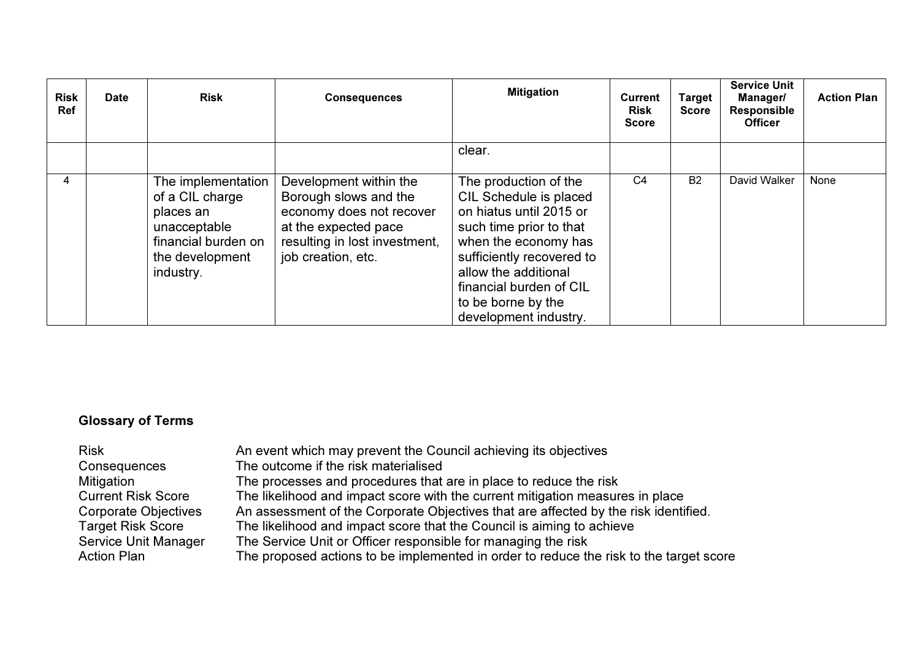| <b>Risk</b><br>Ref | <b>Date</b> | <b>Risk</b>                                                                                                               | <b>Mitigation</b><br><b>Consequences</b>                                                                                                                   |                                                                                                                                                                                                                                                              | <b>Current</b><br><b>Risk</b><br><b>Score</b> | Target<br><b>Score</b> | <b>Service Unit</b><br><b>Manager/</b><br>Responsible<br><b>Officer</b> | <b>Action Plan</b> |
|--------------------|-------------|---------------------------------------------------------------------------------------------------------------------------|------------------------------------------------------------------------------------------------------------------------------------------------------------|--------------------------------------------------------------------------------------------------------------------------------------------------------------------------------------------------------------------------------------------------------------|-----------------------------------------------|------------------------|-------------------------------------------------------------------------|--------------------|
|                    |             |                                                                                                                           |                                                                                                                                                            | clear.                                                                                                                                                                                                                                                       |                                               |                        |                                                                         |                    |
| 4                  |             | The implementation<br>of a CIL charge<br>places an<br>unacceptable<br>financial burden on<br>the development<br>industry. | Development within the<br>Borough slows and the<br>economy does not recover<br>at the expected pace<br>resulting in lost investment,<br>job creation, etc. | The production of the<br>CIL Schedule is placed<br>on hiatus until 2015 or<br>such time prior to that<br>when the economy has<br>sufficiently recovered to<br>allow the additional<br>financial burden of CIL<br>to be borne by the<br>development industry. | C <sub>4</sub>                                | <b>B2</b>              | David Walker                                                            | None               |

## Glossary of Terms

| The processes and procedures that are in place to reduce the risk<br>Mitigation<br><b>Current Risk Score</b><br>The likelihood and impact score with the current mitigation measures in place<br>An assessment of the Corporate Objectives that are affected by the risk identified.<br>Corporate Objectives<br>The likelihood and impact score that the Council is aiming to achieve<br><b>Target Risk Score</b><br><b>Service Unit Manager</b><br>The Service Unit or Officer responsible for managing the risk<br><b>Action Plan</b> | <b>Risk</b><br>Consequences | An event which may prevent the Council achieving its objectives<br>The outcome if the risk materialised<br>The proposed actions to be implemented in order to reduce the risk to the target score |
|-----------------------------------------------------------------------------------------------------------------------------------------------------------------------------------------------------------------------------------------------------------------------------------------------------------------------------------------------------------------------------------------------------------------------------------------------------------------------------------------------------------------------------------------|-----------------------------|---------------------------------------------------------------------------------------------------------------------------------------------------------------------------------------------------|
|-----------------------------------------------------------------------------------------------------------------------------------------------------------------------------------------------------------------------------------------------------------------------------------------------------------------------------------------------------------------------------------------------------------------------------------------------------------------------------------------------------------------------------------------|-----------------------------|---------------------------------------------------------------------------------------------------------------------------------------------------------------------------------------------------|